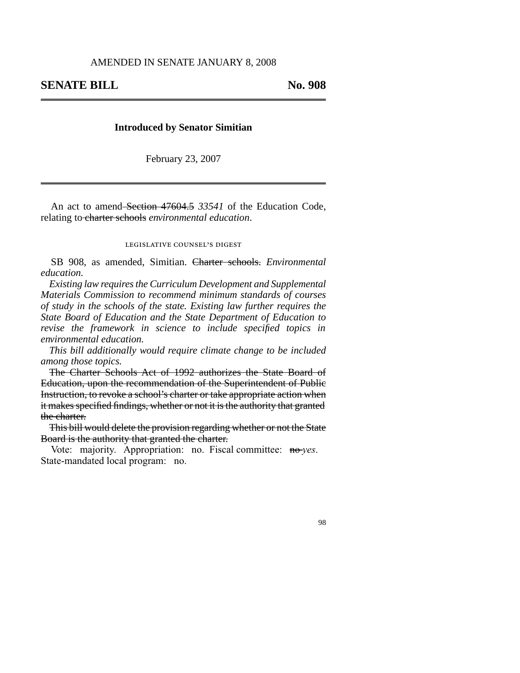## **Introduced by Senator Simitian**

February 23, 2007

An act to amend Section 47604.5 *33541* of the Education Code, relating to charter schools *environmental education*.

## legislative counsel' s digest

SB 908, as amended, Simitian. Charter schools. *Environmental education.*

*Existing law requires the Curriculum Development and Supplemental Materials Commission to recommend minimum standards of courses of study in the schools of the state. Existing law further requires the State Board of Education and the State Department of Education to revise the framework in science to include specified topics in environmental education.*

*This bill additionally would require climate change to be included among those topics.*

The Charter Schools Act of 1992 authorizes the State Board of Education, upon the recommendation of the Superintendent of Public Instruction, to revoke a school's charter or take appropriate action when it makes specified findings, whether or not it is the authority that granted the charter.

This bill would delete the provision regarding whether or not the State Board is the authority that granted the charter.

Vote: majority. Appropriation: no. Fiscal committee: no *yes*. State-mandated local program: no.

98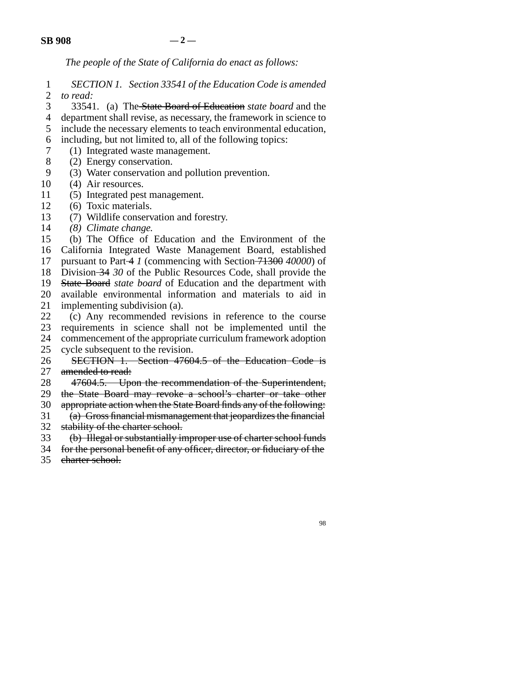*The people of the State of California do enact as follows:*

1 2 *SECTION 1. Section 33541 of the Education Code is amended to read:*

3 33541. (a) The State Board of Education *state board* and the

4 department shall revise, as necessary, the framework in science to

5 include the necessary elements to teach environmental education,

6 including, but not limited to, all of the following topics:

- 7 (1) Integrated waste management.
- 8 (2) Energy conservation.
- 9 (3) Water conservation and pollution prevention.
- 10 (4) Air resources.
- 11 (5) Integrated pest management.
- 12 (6) Toxic materials.
- 13 (7) Wildlife conservation and forestry.
- 14 *(8) Climate change.*

15 16 17 18 19 20 (b) The Office of Education and the Environment of the California Integrated Waste Management Board, established pursuant to Part 4 *1* (commencing with Section 71300 *40000*) of Division 34 *30* of the Public Resources Code, shall provide the State Board *state board* of Education and the department with available environmental information and materials to aid in

21 implementing subdivision (a).

22 23 24 25 (c) Any recommended revisions in reference to the course requirements in science shall not be implemented until the commencement of the appropriate curriculum framework adoption cycle subsequent to the revision.

- 26 27 SECTION 1. Section 47604.5 of the Education Code is amended to read:
- 28 47604.5. Upon the recommendation of the Superintendent,

29 the State Board may revoke a school's charter or take other

30 appropriate action when the State Board finds any of the following:

31 32 (a) Gross financial mismanagement that jeopardizes the financial stability of the charter school.

33 (b) Illegal or substantially improper use of charter school funds

- 34 for the personal benefit of any officer, director, or fiduciary of the
- 35 charter school.

98